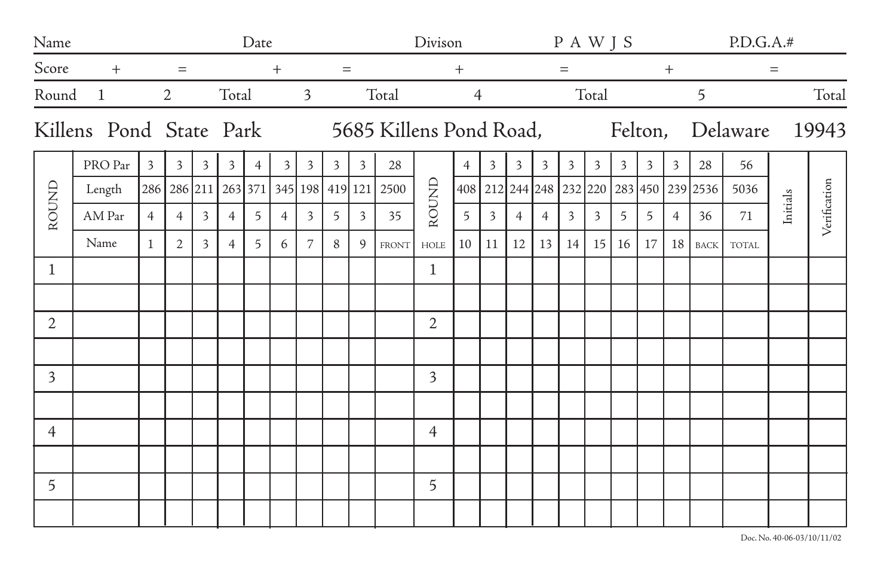| Name           |              | Date                                |                |                |                |                |                |                |                                                                        |                | Divison                 |                |                |                |                |                   | P A W J S      |                 |                 |                |                | P.D.G.A.#                                |              |          |              |
|----------------|--------------|-------------------------------------|----------------|----------------|----------------|----------------|----------------|----------------|------------------------------------------------------------------------|----------------|-------------------------|----------------|----------------|----------------|----------------|-------------------|----------------|-----------------|-----------------|----------------|----------------|------------------------------------------|--------------|----------|--------------|
| Score          | $^{+}$       | $=$                                 |                |                | $^{+}$         |                |                |                | $=$                                                                    |                |                         | $^{+}$         |                |                |                | $\qquad \qquad =$ |                |                 |                 | $^{+}$         |                |                                          | $=$          |          |              |
| Round          | $\mathbf{1}$ |                                     | 2              |                | Total          |                |                | $\overline{3}$ |                                                                        |                | Total<br>$\overline{4}$ |                |                |                | Total          |                   |                |                 |                 |                |                | 5                                        |              | Total    |              |
|                |              |                                     |                |                |                |                |                |                | Killens Pond State Park 5685 Killens Pond Road, Felton, Delaware 19943 |                |                         |                |                |                |                |                   |                |                 |                 |                |                |                                          |              |          |              |
| ROUND          | PRO Par      | $\overline{3}$                      | $\overline{3}$ | 3 <sup>7</sup> | 3 <sup>1</sup> | $\overline{4}$ | $\overline{3}$ | $\overline{3}$ | 3 <sup>7</sup>                                                         | $\overline{3}$ | 28                      | ROUND          | $\overline{4}$ | $\overline{3}$ | $\overline{3}$ | $\overline{3}$    | $\overline{3}$ | $\overline{3}$  | $\overline{3}$  | $\overline{3}$ | $\overline{3}$ | 28                                       | 56           |          | Verification |
|                | Length       | 286 286 211 263 371 345 198 419 121 |                |                |                |                |                |                |                                                                        |                | 2500                    |                |                |                |                |                   |                |                 |                 |                |                | 408 212 244 248 232 220 283 450 239 2536 | 5036         |          |              |
|                | AM Par       | $\overline{4}$                      | $\overline{4}$ | $\overline{3}$ | $\overline{4}$ | 5              | $\overline{4}$ | 3              | 5 <sup>7</sup>                                                         | $\overline{3}$ | 35                      |                | 5              | 3              | $\overline{4}$ | $\overline{4}$    | $\overline{3}$ | 3               | $5\overline{)}$ | 5              | $\overline{4}$ | 36                                       | 71           | Initials |              |
|                | Name         | $\mathbf{1}$                        | 2              | $\overline{3}$ | $\overline{4}$ | 5              | 6              | 7              | 8                                                                      | $\mathcal{Q}$  | <b>FRONT</b>            | HOLE           | 10             | 11             | 12             | 13                | 14             | 15 <sup>1</sup> | 16              | 17             | 18             | <b>BACK</b>                              | <b>TOTAL</b> |          |              |
| $\mathbf 1$    |              |                                     |                |                |                |                |                |                |                                                                        |                |                         | $\mathbf{1}$   |                |                |                |                   |                |                 |                 |                |                |                                          |              |          |              |
|                |              |                                     |                |                |                |                |                |                |                                                                        |                |                         |                |                |                |                |                   |                |                 |                 |                |                |                                          |              |          |              |
| $\overline{2}$ |              |                                     |                |                |                |                |                |                |                                                                        |                |                         | $\overline{2}$ |                |                |                |                   |                |                 |                 |                |                |                                          |              |          |              |
|                |              |                                     |                |                |                |                |                |                |                                                                        |                |                         |                |                |                |                |                   |                |                 |                 |                |                |                                          |              |          |              |
| 3              |              |                                     |                |                |                |                |                |                |                                                                        |                |                         | $\overline{3}$ |                |                |                |                   |                |                 |                 |                |                |                                          |              |          |              |
|                |              |                                     |                |                |                |                |                |                |                                                                        |                |                         |                |                |                |                |                   |                |                 |                 |                |                |                                          |              |          |              |
| 4              |              |                                     |                |                |                |                |                |                |                                                                        |                |                         | $\overline{4}$ |                |                |                |                   |                |                 |                 |                |                |                                          |              |          |              |
|                |              |                                     |                |                |                |                |                |                |                                                                        |                |                         |                |                |                |                |                   |                |                 |                 |                |                |                                          |              |          |              |
| 5              |              |                                     |                |                |                |                |                |                |                                                                        |                |                         | 5              |                |                |                |                   |                |                 |                 |                |                |                                          |              |          |              |
|                |              |                                     |                |                |                |                |                |                |                                                                        |                |                         |                |                |                |                |                   |                |                 |                 |                |                |                                          |              |          |              |